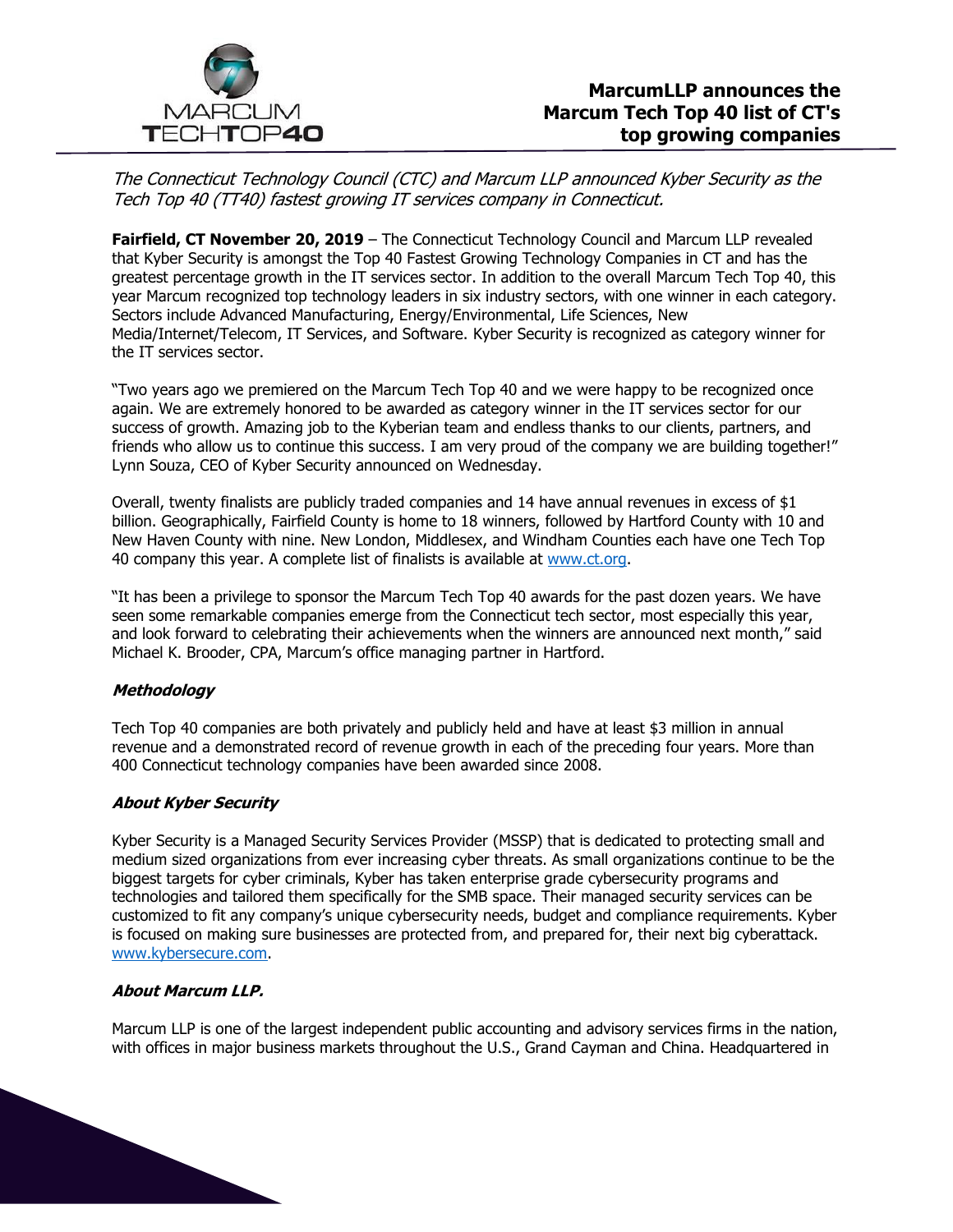

The Connecticut Technology Council (CTC) and Marcum LLP announced Kyber Security as the Tech Top 40 (TT40) fastest growing IT services company in Connecticut.

Fairfield, CT November 20, 2019 - The Connecticut Technology Council and Marcum LLP revealed that Kyber Security is amongst the Top 40 Fastest Growing Technology Companies in CT and has the greatest percentage growth in the IT services sector. In addition to the overall Marcum Tech Top 40, this year Marcum recognized top technology leaders in six industry sectors, with one winner in each category. Sectors include Advanced Manufacturing, Energy/Environmental, Life Sciences, New Media/Internet/Telecom, IT Services, and Software. Kyber Security is recognized as category winner for the IT services sector.

"Two years ago we premiered on the Marcum Tech Top 40 and we were happy to be recognized once again. We are extremely honored to be awarded as category winner in the IT services sector for our success of growth. Amazing job to the Kyberian team and endless thanks to our clients, partners, and friends who allow us to continue this success. I am very proud of the company we are building together!" Lynn Souza, CEO of Kyber Security announced on Wednesday.

Overall, twenty finalists are publicly traded companies and 14 have annual revenues in excess of \$1 billion. Geographically, Fairfield County is home to 18 winners, followed by Hartford County with 10 and New Haven County with nine. New London, Middlesex, and Windham Counties each have one Tech Top 40 company this year. A complete list of finalists is available at [www.ct.org.](http://www.ct.org/)

"It has been a privilege to sponsor the Marcum Tech Top 40 awards for the past dozen years. We have seen some remarkable companies emerge from the Connecticut tech sector, most especially this year, and look forward to celebrating their achievements when the winners are announced next month," said Michael K. Brooder, CPA, Marcum's office managing partner in Hartford.

### **Methodology**

Tech Top 40 companies are both privately and publicly held and have at least \$3 million in annual revenue and a demonstrated record of revenue growth in each of the preceding four years. More than 400 Connecticut technology companies have been awarded since 2008.

### **About Kyber Security**

Kyber Security is a Managed Security Services Provider (MSSP) that is dedicated to protecting small and medium sized organizations from ever increasing cyber threats. As small organizations continue to be the biggest targets for cyber criminals, Kyber has taken enterprise grade cybersecurity programs and technologies and tailored them specifically for the SMB space. Their managed security services can be customized to fit any company's unique cybersecurity needs, budget and compliance requirements. Kyber is focused on making sure businesses are protected from, and prepared for, their next big cyberattack. [www.kybersecure.com.](http://www.kybersecure.com/)

### **About Marcum LLP.**

Marcum LLP is one of the largest independent public accounting and advisory services firms in the nation, with offices in major business markets throughout the U.S., Grand Cayman and China. Headquartered in

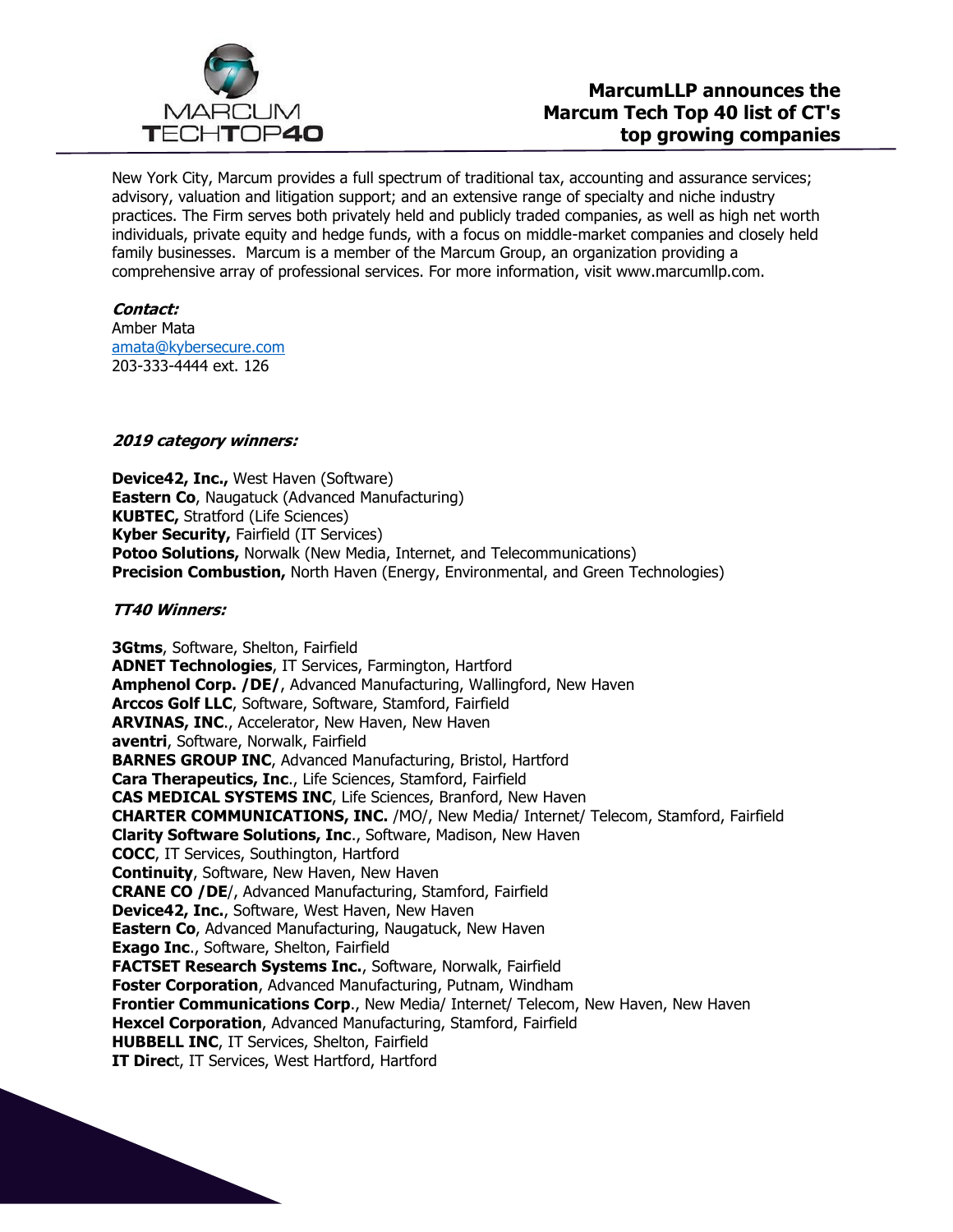

New York City, Marcum provides a full spectrum of traditional tax, accounting and assurance services; advisory, valuation and litigation support; and an extensive range of specialty and niche industry practices. The Firm serves both privately held and publicly traded companies, as well as high net worth individuals, private equity and hedge funds, with a focus on middle-market companies and closely held family businesses. Marcum is a member of the Marcum Group, an organization providing a comprehensive array of professional services. For more information, visit www.marcumllp.com.

### **Contact:**

Amber Mata [amata@kybersecure.com](mailto:amata@kybersecure.com) 203-333-4444 ext. 126

# **2019 category winners:**

**Device42, Inc.,** West Haven (Software) **Eastern Co**, Naugatuck (Advanced Manufacturing) **KUBTEC,** Stratford (Life Sciences) **Kyber Security,** Fairfield (IT Services) **Potoo Solutions,** Norwalk (New Media, Internet, and Telecommunications) **Precision Combustion,** North Haven (Energy, Environmental, and Green Technologies)

## **TT40 Winners:**

**3Gtms**, Software, Shelton, Fairfield **ADNET Technologies**, IT Services, Farmington, Hartford **Amphenol Corp. /DE/**, Advanced Manufacturing, Wallingford, New Haven **Arccos Golf LLC**, Software, Software, Stamford, Fairfield **ARVINAS, INC**., Accelerator, New Haven, New Haven **aventri**, Software, Norwalk, Fairfield **BARNES GROUP INC**, Advanced Manufacturing, Bristol, Hartford **Cara Therapeutics, Inc**., Life Sciences, Stamford, Fairfield **CAS MEDICAL SYSTEMS INC**, Life Sciences, Branford, New Haven **CHARTER COMMUNICATIONS, INC.** /MO/, New Media/ Internet/ Telecom, Stamford, Fairfield **Clarity Software Solutions, Inc**., Software, Madison, New Haven **COCC**, IT Services, Southington, Hartford **Continuity**, Software, New Haven, New Haven **CRANE CO /DE**/, Advanced Manufacturing, Stamford, Fairfield **Device42, Inc.**, Software, West Haven, New Haven **Eastern Co**, Advanced Manufacturing, Naugatuck, New Haven **Exago Inc**., Software, Shelton, Fairfield **FACTSET Research Systems Inc.**, Software, Norwalk, Fairfield **Foster Corporation**, Advanced Manufacturing, Putnam, Windham **Frontier Communications Corp**., New Media/ Internet/ Telecom, New Haven, New Haven **Hexcel Corporation**, Advanced Manufacturing, Stamford, Fairfield **HUBBELL INC**, IT Services, Shelton, Fairfield **IT Direc**t, IT Services, West Hartford, Hartford